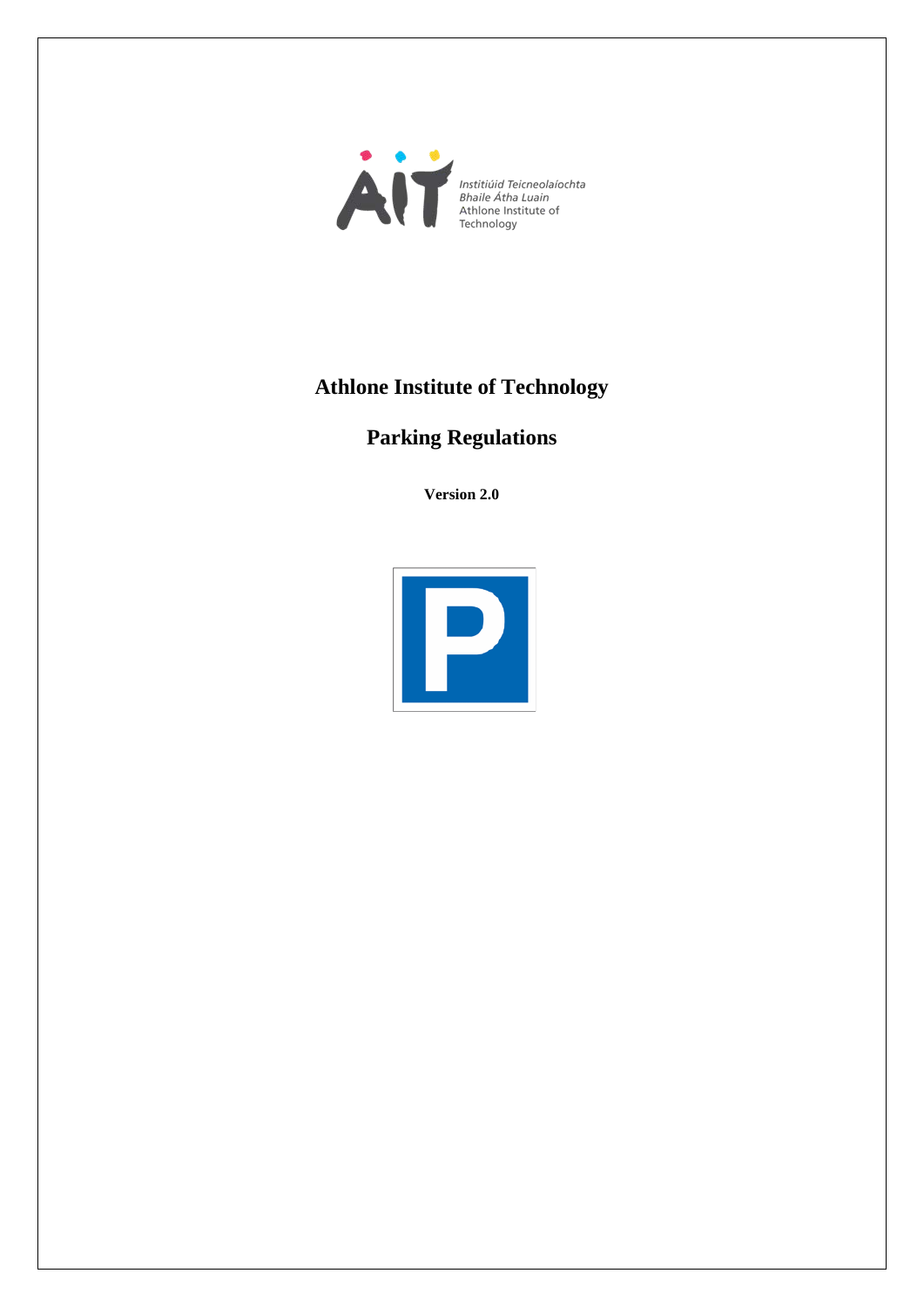

# **Athlone Institute of Technology**

# **Parking Regulations**

**Version 2.0**

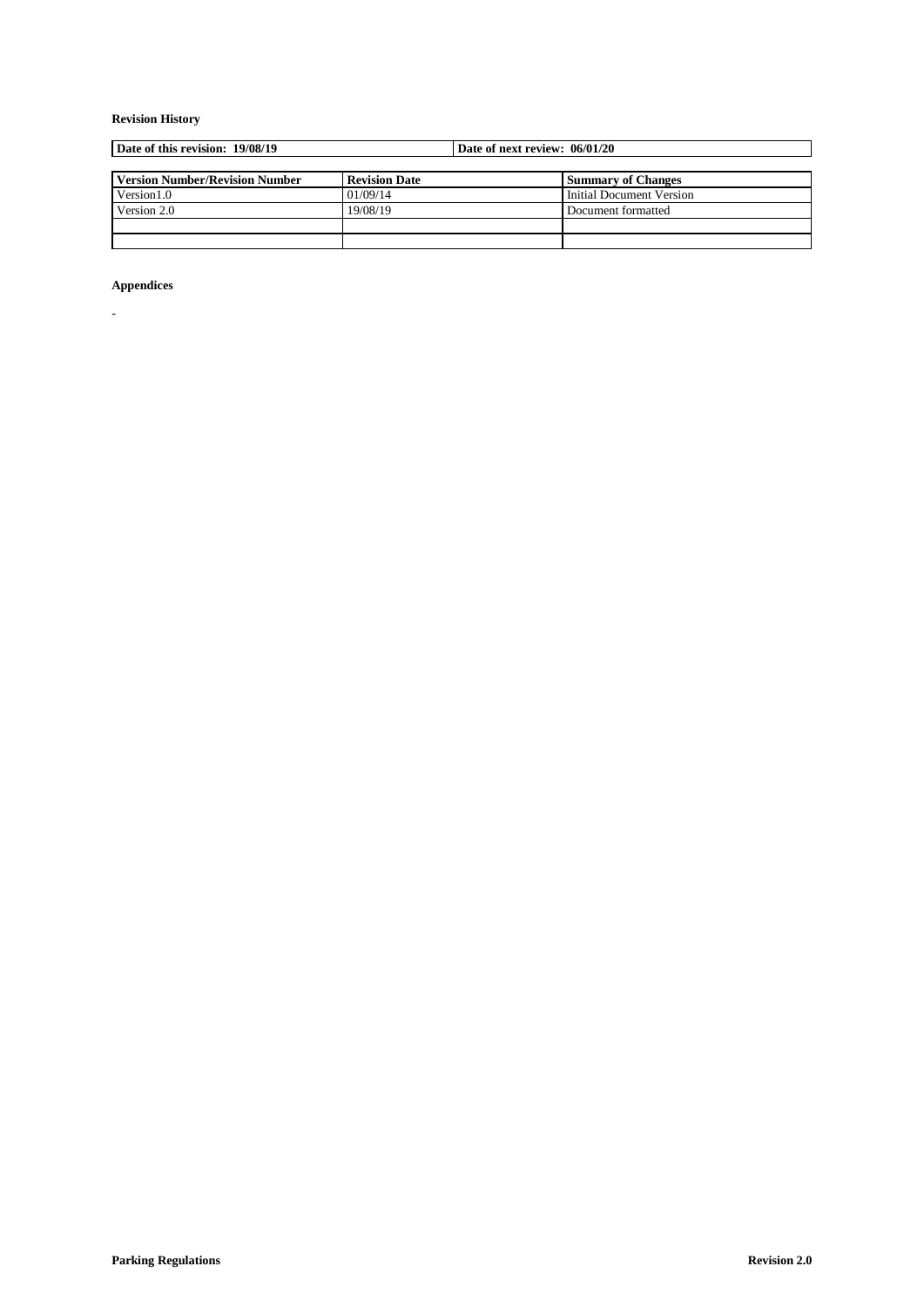## **Revision History**

| Date of this revision: 19/08/19       |                      | Date of next review: 06/01/20 |                           |
|---------------------------------------|----------------------|-------------------------------|---------------------------|
|                                       |                      |                               |                           |
| <b>Version Number/Revision Number</b> | <b>Revision Date</b> |                               | <b>Summary of Changes</b> |
| Version 1.0                           | 01/09/14             |                               | Initial Document Version  |
| Version 2.0                           | 19/08/19             |                               | Document formatted        |
|                                       |                      |                               |                           |
|                                       |                      |                               |                           |

## **Appendices**

-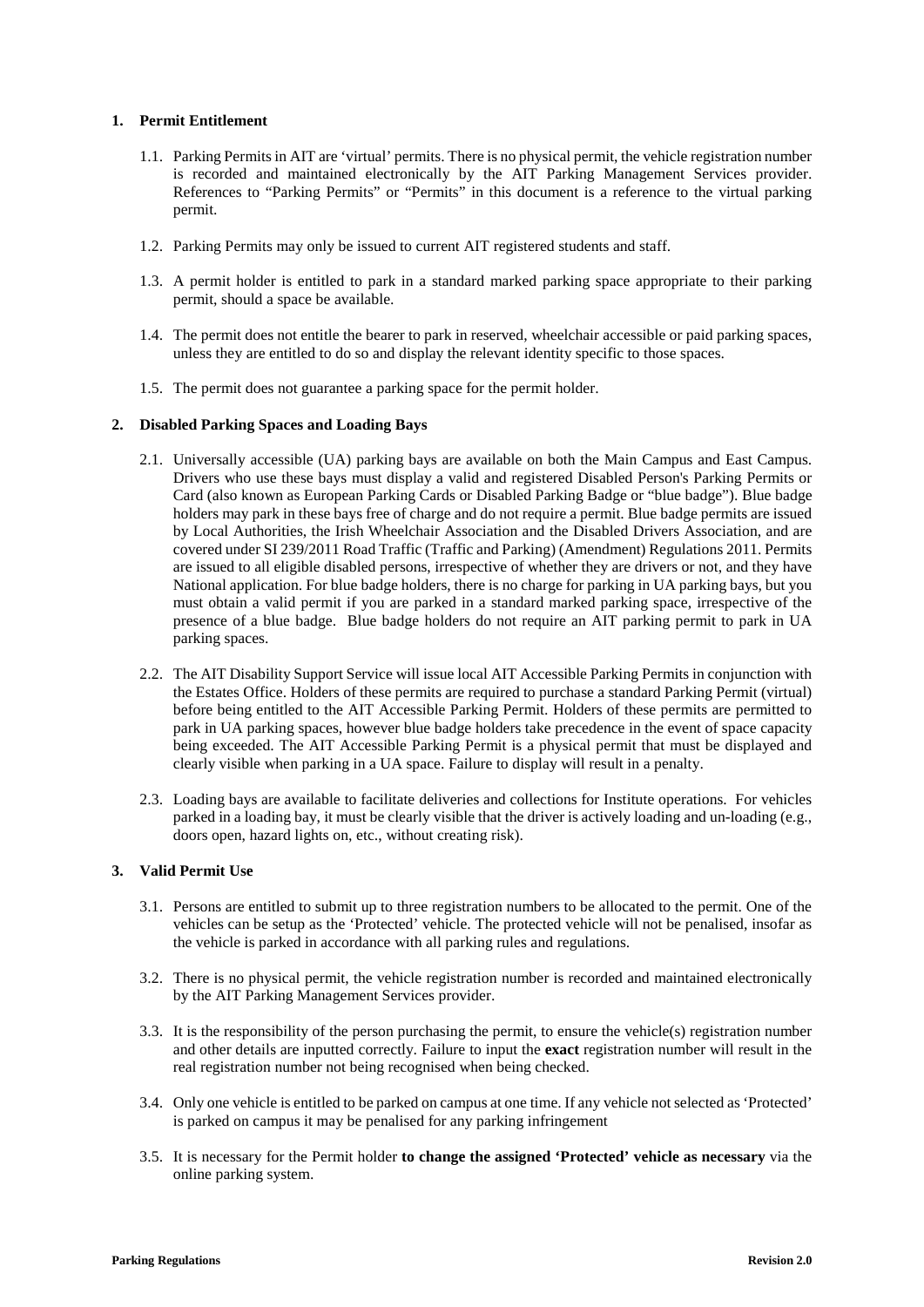## **1. Permit Entitlement**

- 1.1. Parking Permits in AIT are 'virtual' permits. There is no physical permit, the vehicle registration number is recorded and maintained electronically by the AIT Parking Management Services provider. References to "Parking Permits" or "Permits" in this document is a reference to the virtual parking permit.
- 1.2. Parking Permits may only be issued to current AIT registered students and staff.
- 1.3. A permit holder is entitled to park in a standard marked parking space appropriate to their parking permit, should a space be available.
- 1.4. The permit does not entitle the bearer to park in reserved, wheelchair accessible or paid parking spaces, unless they are entitled to do so and display the relevant identity specific to those spaces.
- 1.5. The permit does not guarantee a parking space for the permit holder.

## **2. Disabled Parking Spaces and Loading Bays**

- 2.1. Universally accessible (UA) parking bays are available on both the Main Campus and East Campus. Drivers who use these bays must display a valid and registered Disabled Person's Parking Permits or Card (also known as European Parking Cards or Disabled Parking Badge or "blue badge"). Blue badge holders may park in these bays free of charge and do not require a permit. Blue badge permits are issued by Local Authorities, the Irish Wheelchair Association and the Disabled Drivers Association, and are covered under SI 239/2011 Road Traffic (Traffic and Parking) (Amendment) Regulations 2011. Permits are issued to all eligible disabled persons, irrespective of whether they are drivers or not, and they have National application. For blue badge holders, there is no charge for parking in UA parking bays, but you must obtain a valid permit if you are parked in a standard marked parking space, irrespective of the presence of a blue badge. Blue badge holders do not require an AIT parking permit to park in UA parking spaces.
- 2.2. The AIT Disability Support Service will issue local AIT Accessible Parking Permits in conjunction with the Estates Office. Holders of these permits are required to purchase a standard Parking Permit (virtual) before being entitled to the AIT Accessible Parking Permit. Holders of these permits are permitted to park in UA parking spaces, however blue badge holders take precedence in the event of space capacity being exceeded. The AIT Accessible Parking Permit is a physical permit that must be displayed and clearly visible when parking in a UA space. Failure to display will result in a penalty.
- 2.3. Loading bays are available to facilitate deliveries and collections for Institute operations. For vehicles parked in a loading bay, it must be clearly visible that the driver is actively loading and un-loading (e.g., doors open, hazard lights on, etc., without creating risk).

## **3. Valid Permit Use**

- 3.1. Persons are entitled to submit up to three registration numbers to be allocated to the permit. One of the vehicles can be setup as the 'Protected' vehicle. The protected vehicle will not be penalised, insofar as the vehicle is parked in accordance with all parking rules and regulations.
- 3.2. There is no physical permit, the vehicle registration number is recorded and maintained electronically by the AIT Parking Management Services provider.
- 3.3. It is the responsibility of the person purchasing the permit, to ensure the vehicle(s) registration number and other details are inputted correctly. Failure to input the **exact** registration number will result in the real registration number not being recognised when being checked.
- 3.4. Only one vehicle is entitled to be parked on campus at one time. If any vehicle not selected as 'Protected' is parked on campus it may be penalised for any parking infringement
- 3.5. It is necessary for the Permit holder **to change the assigned 'Protected' vehicle as necessary** via the online parking system.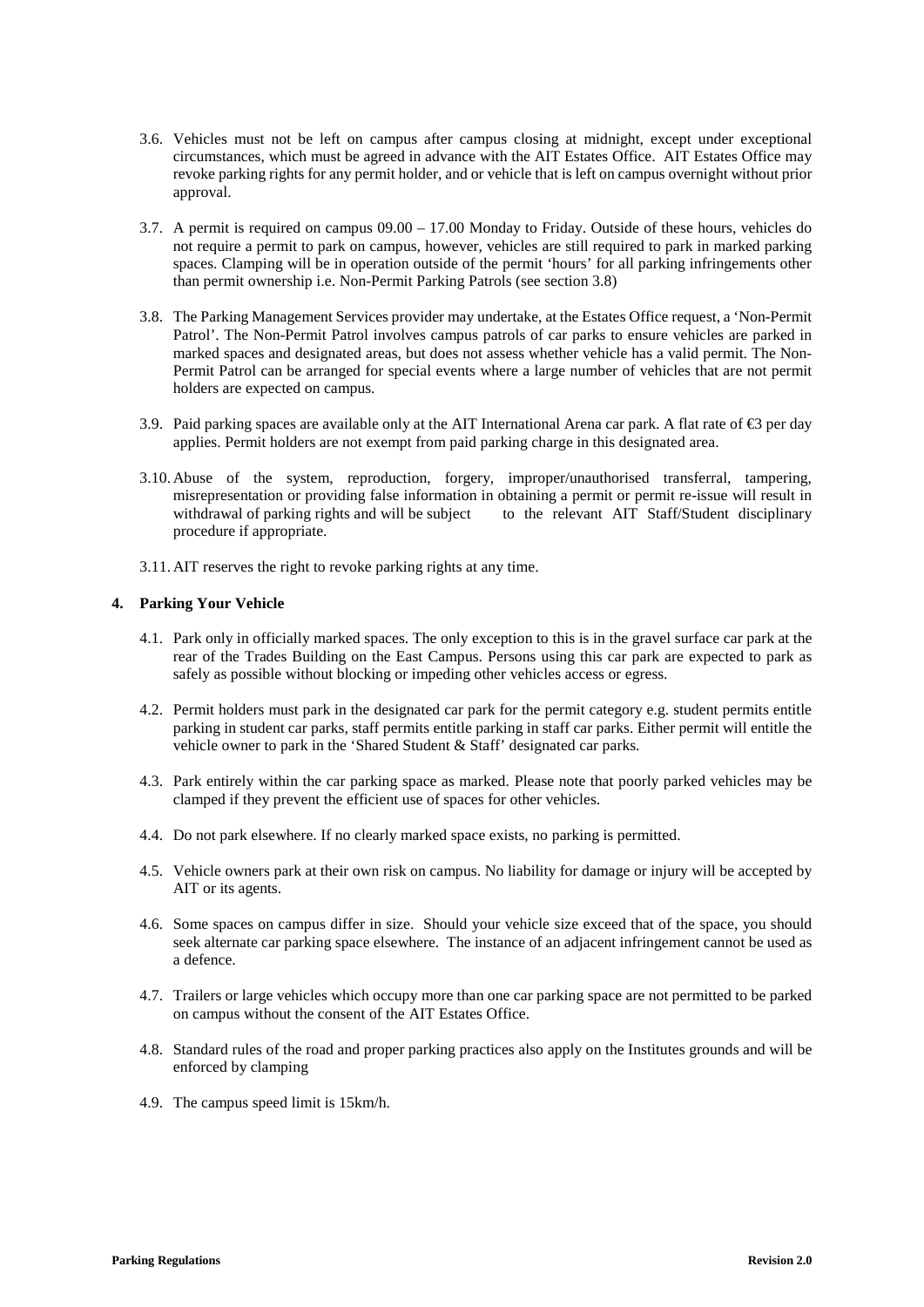- 3.6. Vehicles must not be left on campus after campus closing at midnight, except under exceptional circumstances, which must be agreed in advance with the AIT Estates Office. AIT Estates Office may revoke parking rights for any permit holder, and or vehicle that is left on campus overnight without prior approval.
- 3.7. A permit is required on campus 09.00 17.00 Monday to Friday. Outside of these hours, vehicles do not require a permit to park on campus, however, vehicles are still required to park in marked parking spaces. Clamping will be in operation outside of the permit 'hours' for all parking infringements other than permit ownership i.e. Non-Permit Parking Patrols (see section 3.8)
- 3.8. The Parking Management Services provider may undertake, at the Estates Office request, a 'Non-Permit Patrol'. The Non-Permit Patrol involves campus patrols of car parks to ensure vehicles are parked in marked spaces and designated areas, but does not assess whether vehicle has a valid permit. The Non-Permit Patrol can be arranged for special events where a large number of vehicles that are not permit holders are expected on campus.
- 3.9. Paid parking spaces are available only at the AIT International Arena car park. A flat rate of €3 per day applies. Permit holders are not exempt from paid parking charge in this designated area.
- 3.10. Abuse of the system, reproduction, forgery, improper/unauthorised transferral, tampering, misrepresentation or providing false information in obtaining a permit or permit re-issue will result in withdrawal of parking rights and will be subject to the relevant AIT Staff/Student disciplinary procedure if appropriate.
- 3.11. AIT reserves the right to revoke parking rights at any time.

## **4. Parking Your Vehicle**

- 4.1. Park only in officially marked spaces. The only exception to this is in the gravel surface car park at the rear of the Trades Building on the East Campus. Persons using this car park are expected to park as safely as possible without blocking or impeding other vehicles access or egress.
- 4.2. Permit holders must park in the designated car park for the permit category e.g. student permits entitle parking in student car parks, staff permits entitle parking in staff car parks. Either permit will entitle the vehicle owner to park in the 'Shared Student & Staff' designated car parks.
- 4.3. Park entirely within the car parking space as marked. Please note that poorly parked vehicles may be clamped if they prevent the efficient use of spaces for other vehicles.
- 4.4. Do not park elsewhere. If no clearly marked space exists, no parking is permitted.
- 4.5. Vehicle owners park at their own risk on campus. No liability for damage or injury will be accepted by AIT or its agents.
- 4.6. Some spaces on campus differ in size. Should your vehicle size exceed that of the space, you should seek alternate car parking space elsewhere. The instance of an adjacent infringement cannot be used as a defence.
- 4.7. Trailers or large vehicles which occupy more than one car parking space are not permitted to be parked on campus without the consent of the AIT Estates Office.
- 4.8. Standard rules of the road and proper parking practices also apply on the Institutes grounds and will be enforced by clamping
- 4.9. The campus speed limit is 15km/h.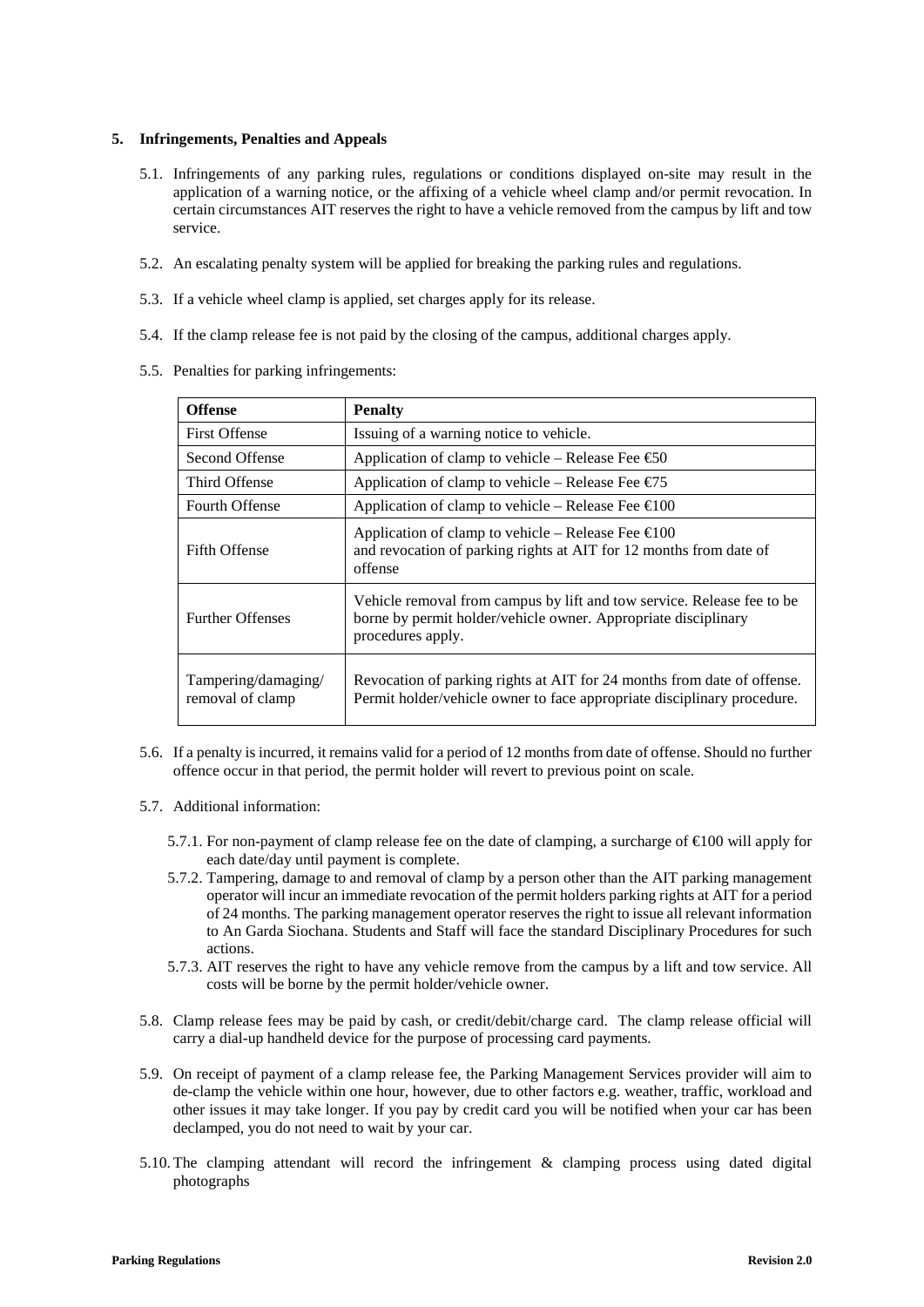#### **5. Infringements, Penalties and Appeals**

- 5.1. Infringements of any parking rules, regulations or conditions displayed on-site may result in the application of a warning notice, or the affixing of a vehicle wheel clamp and/or permit revocation. In certain circumstances AIT reserves the right to have a vehicle removed from the campus by lift and tow service.
- 5.2. An escalating penalty system will be applied for breaking the parking rules and regulations.
- 5.3. If a vehicle wheel clamp is applied, set charges apply for its release.
- 5.4. If the clamp release fee is not paid by the closing of the campus, additional charges apply.
- 5.5. Penalties for parking infringements:

| <b>Offense</b>                          | <b>Penalty</b>                                                                                                                                                |  |  |
|-----------------------------------------|---------------------------------------------------------------------------------------------------------------------------------------------------------------|--|--|
| <b>First Offense</b>                    | Issuing of a warning notice to vehicle.                                                                                                                       |  |  |
| Second Offense                          | Application of clamp to vehicle – Release Fee $\text{\textcircled{\textless}} 60$                                                                             |  |  |
| Third Offense                           | Application of clamp to vehicle – Release Fee $\epsilon$ 75                                                                                                   |  |  |
| <b>Fourth Offense</b>                   | Application of clamp to vehicle – Release Fee $\in 00$                                                                                                        |  |  |
| <b>Fifth Offense</b>                    | Application of clamp to vehicle – Release Fee $\in 00$<br>and revocation of parking rights at AIT for 12 months from date of<br>offense                       |  |  |
| <b>Further Offenses</b>                 | Vehicle removal from campus by lift and tow service. Release fee to be<br>borne by permit holder/vehicle owner. Appropriate disciplinary<br>procedures apply. |  |  |
| Tampering/damaging/<br>removal of clamp | Revocation of parking rights at AIT for 24 months from date of offense.<br>Permit holder/vehicle owner to face appropriate disciplinary procedure.            |  |  |

- 5.6. If a penalty is incurred, it remains valid for a period of 12 months from date of offense. Should no further offence occur in that period, the permit holder will revert to previous point on scale.
- 5.7. Additional information:
	- 5.7.1. For non-payment of clamp release fee on the date of clamping, a surcharge of  $\bigoplus$  00 will apply for each date/day until payment is complete.
	- 5.7.2. Tampering, damage to and removal of clamp by a person other than the AIT parking management operator will incur an immediate revocation of the permit holders parking rights at AIT for a period of 24 months. The parking management operator reserves the right to issue all relevant information to An Garda Siochana. Students and Staff will face the standard Disciplinary Procedures for such actions.
	- 5.7.3. AIT reserves the right to have any vehicle remove from the campus by a lift and tow service. All costs will be borne by the permit holder/vehicle owner.
- 5.8. Clamp release fees may be paid by cash, or credit/debit/charge card. The clamp release official will carry a dial-up handheld device for the purpose of processing card payments.
- 5.9. On receipt of payment of a clamp release fee, the Parking Management Services provider will aim to de-clamp the vehicle within one hour, however, due to other factors e.g. weather, traffic, workload and other issues it may take longer. If you pay by credit card you will be notified when your car has been declamped, you do not need to wait by your car.
- 5.10.The clamping attendant will record the infringement & clamping process using dated digital photographs